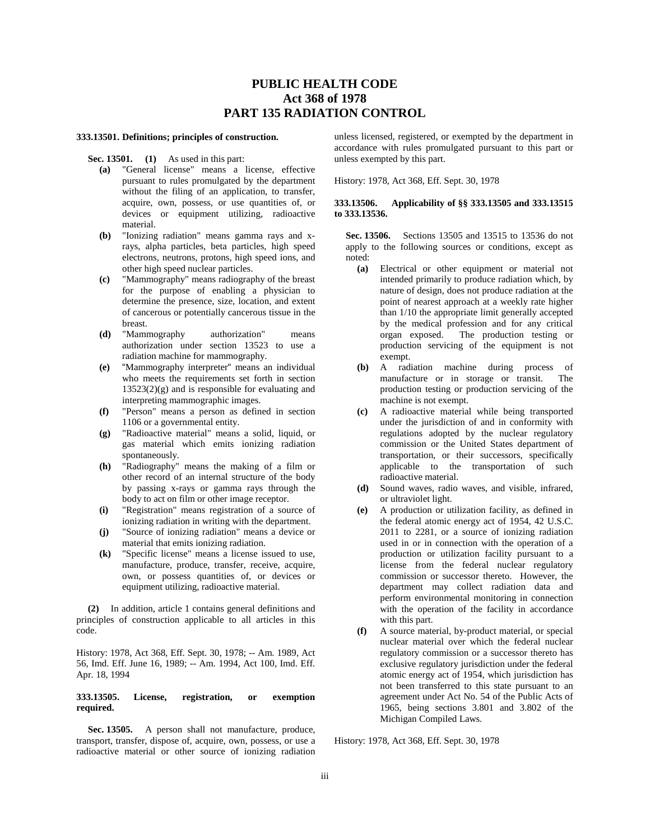# **PUBLIC HEALTH CODE Act 368 of 1978 PART 135 RADIATION CONTROL**

#### **333.13501. Definitions; principles of construction.**

- **Sec. 13501. (1)** As used in this part:
	- **(a)** "General license" means a license, effective pursuant to rules promulgated by the department without the filing of an application, to transfer, acquire, own, possess, or use quantities of, or devices or equipment utilizing, radioactive material.
	- **(b)** "Ionizing radiation" means gamma rays and xrays, alpha particles, beta particles, high speed electrons, neutrons, protons, high speed ions, and other high speed nuclear particles.
	- **(c)** "Mammography" means radiography of the breast for the purpose of enabling a physician to determine the presence, size, location, and extent of cancerous or potentially cancerous tissue in the breast.
	- **(d)** "Mammography authorization" means authorization under section 13523 to use a radiation machine for mammography.
	- **(e)** "Mammography interpreter" means an individual who meets the requirements set forth in section  $13523(2)(g)$  and is responsible for evaluating and interpreting mammographic images.
	- **(f)** "Person" means a person as defined in section 1106 or a governmental entity.
	- **(g)** "Radioactive material" means a solid, liquid, or gas material which emits ionizing radiation spontaneously.
	- **(h)** "Radiography" means the making of a film or other record of an internal structure of the body by passing x-rays or gamma rays through the body to act on film or other image receptor.
	- **(i)** "Registration" means registration of a source of ionizing radiation in writing with the department.
	- **(j)** "Source of ionizing radiation" means a device or material that emits ionizing radiation.
	- **(k)** "Specific license" means a license issued to use, manufacture, produce, transfer, receive, acquire, own, or possess quantities of, or devices or equipment utilizing, radioactive material.

**(2)** In addition, article 1 contains general definitions and principles of construction applicable to all articles in this code.

History: 1978, Act 368, Eff. Sept. 30, 1978; -- Am. 1989, Act 56, Imd. Eff. June 16, 1989; -- Am. 1994, Act 100, Imd. Eff. Apr. 18, 1994

#### **333.13505. License, registration, or exemption required.**

**Sec. 13505.** A person shall not manufacture, produce, transport, transfer, dispose of, acquire, own, possess, or use a radioactive material or other source of ionizing radiation

unless licensed, registered, or exempted by the department in accordance with rules promulgated pursuant to this part or unless exempted by this part.

History: 1978, Act 368, Eff. Sept. 30, 1978

## **333.13506. Applicability of §§ 333.13505 and 333.13515 to 333.13536.**

**Sec. 13506.** Sections 13505 and 13515 to 13536 do not apply to the following sources or conditions, except as noted:

- **(a)** Electrical or other equipment or material not intended primarily to produce radiation which, by nature of design, does not produce radiation at the point of nearest approach at a weekly rate higher than 1/10 the appropriate limit generally accepted by the medical profession and for any critical organ exposed. The production testing or production servicing of the equipment is not exempt.
- **(b)** A radiation machine during process of manufacture or in storage or transit. The production testing or production servicing of the machine is not exempt.
- **(c)** A radioactive material while being transported under the jurisdiction of and in conformity with regulations adopted by the nuclear regulatory commission or the United States department of transportation, or their successors, specifically applicable to the transportation of such radioactive material.
- **(d)** Sound waves, radio waves, and visible, infrared, or ultraviolet light.
- **(e)** A production or utilization facility, as defined in the federal atomic energy act of 1954, 42 U.S.C. 2011 to 2281, or a source of ionizing radiation used in or in connection with the operation of a production or utilization facility pursuant to a license from the federal nuclear regulatory commission or successor thereto. However, the department may collect radiation data and perform environmental monitoring in connection with the operation of the facility in accordance with this part.
- **(f)** A source material, by-product material, or special nuclear material over which the federal nuclear regulatory commission or a successor thereto has exclusive regulatory jurisdiction under the federal atomic energy act of 1954, which jurisdiction has not been transferred to this state pursuant to an agreement under Act No. 54 of the Public Acts of 1965, being sections 3.801 and 3.802 of the Michigan Compiled Laws.

History: 1978, Act 368, Eff. Sept. 30, 1978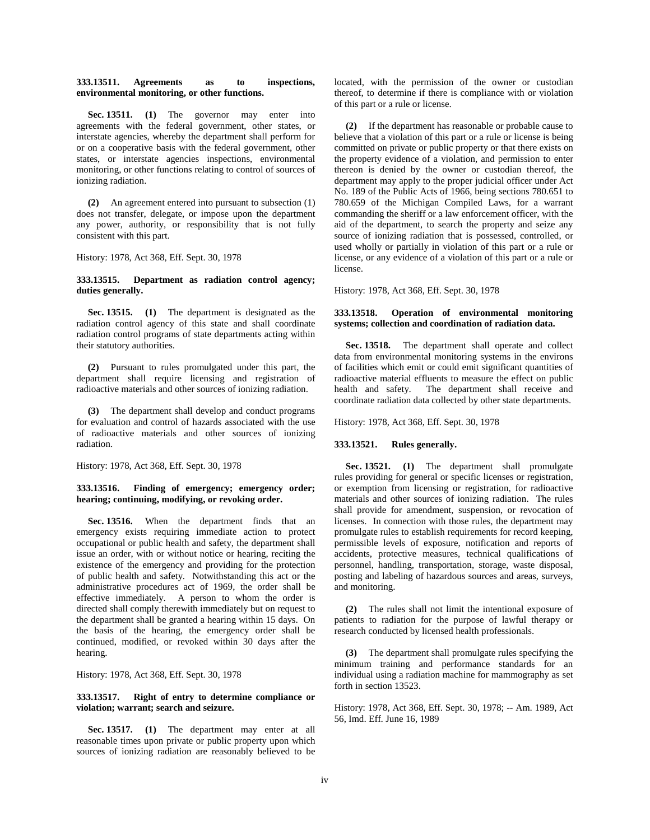### **333.13511. Agreements as to inspections, environmental monitoring, or other functions.**

**Sec. 13511. (1)** The governor may enter into agreements with the federal government, other states, or interstate agencies, whereby the department shall perform for or on a cooperative basis with the federal government, other states, or interstate agencies inspections, environmental monitoring, or other functions relating to control of sources of ionizing radiation.

**(2)** An agreement entered into pursuant to subsection (1) does not transfer, delegate, or impose upon the department any power, authority, or responsibility that is not fully consistent with this part.

History: 1978, Act 368, Eff. Sept. 30, 1978

### **333.13515. Department as radiation control agency; duties generally.**

**Sec. 13515. (1)** The department is designated as the radiation control agency of this state and shall coordinate radiation control programs of state departments acting within their statutory authorities.

**(2)** Pursuant to rules promulgated under this part, the department shall require licensing and registration of radioactive materials and other sources of ionizing radiation.

**(3)** The department shall develop and conduct programs for evaluation and control of hazards associated with the use of radioactive materials and other sources of ionizing radiation.

History: 1978, Act 368, Eff. Sept. 30, 1978

# **333.13516. Finding of emergency; emergency order; hearing; continuing, modifying, or revoking order.**

**Sec. 13516.** When the department finds that an emergency exists requiring immediate action to protect occupational or public health and safety, the department shall issue an order, with or without notice or hearing, reciting the existence of the emergency and providing for the protection of public health and safety. Notwithstanding this act or the administrative procedures act of 1969, the order shall be effective immediately. A person to whom the order is directed shall comply therewith immediately but on request to the department shall be granted a hearing within 15 days. On the basis of the hearing, the emergency order shall be continued, modified, or revoked within 30 days after the hearing.

History: 1978, Act 368, Eff. Sept. 30, 1978

### **333.13517. Right of entry to determine compliance or violation; warrant; search and seizure.**

**Sec. 13517. (1)** The department may enter at all reasonable times upon private or public property upon which sources of ionizing radiation are reasonably believed to be

located, with the permission of the owner or custodian thereof, to determine if there is compliance with or violation of this part or a rule or license.

**(2)** If the department has reasonable or probable cause to believe that a violation of this part or a rule or license is being committed on private or public property or that there exists on the property evidence of a violation, and permission to enter thereon is denied by the owner or custodian thereof, the department may apply to the proper judicial officer under Act No. 189 of the Public Acts of 1966, being sections 780.651 to 780.659 of the Michigan Compiled Laws, for a warrant commanding the sheriff or a law enforcement officer, with the aid of the department, to search the property and seize any source of ionizing radiation that is possessed, controlled, or used wholly or partially in violation of this part or a rule or license, or any evidence of a violation of this part or a rule or license.

History: 1978, Act 368, Eff. Sept. 30, 1978

### **333.13518. Operation of environmental monitoring systems; collection and coordination of radiation data.**

**Sec. 13518.** The department shall operate and collect data from environmental monitoring systems in the environs of facilities which emit or could emit significant quantities of radioactive material effluents to measure the effect on public health and safety. The department shall receive and coordinate radiation data collected by other state departments.

History: 1978, Act 368, Eff. Sept. 30, 1978

#### **333.13521. Rules generally.**

**Sec. 13521. (1)** The department shall promulgate rules providing for general or specific licenses or registration, or exemption from licensing or registration, for radioactive materials and other sources of ionizing radiation. The rules shall provide for amendment, suspension, or revocation of licenses. In connection with those rules, the department may promulgate rules to establish requirements for record keeping, permissible levels of exposure, notification and reports of accidents, protective measures, technical qualifications of personnel, handling, transportation, storage, waste disposal, posting and labeling of hazardous sources and areas, surveys, and monitoring.

**(2)** The rules shall not limit the intentional exposure of patients to radiation for the purpose of lawful therapy or research conducted by licensed health professionals.

**(3)** The department shall promulgate rules specifying the minimum training and performance standards for an individual using a radiation machine for mammography as set forth in section 13523.

History: 1978, Act 368, Eff. Sept. 30, 1978; -- Am. 1989, Act 56, Imd. Eff. June 16, 1989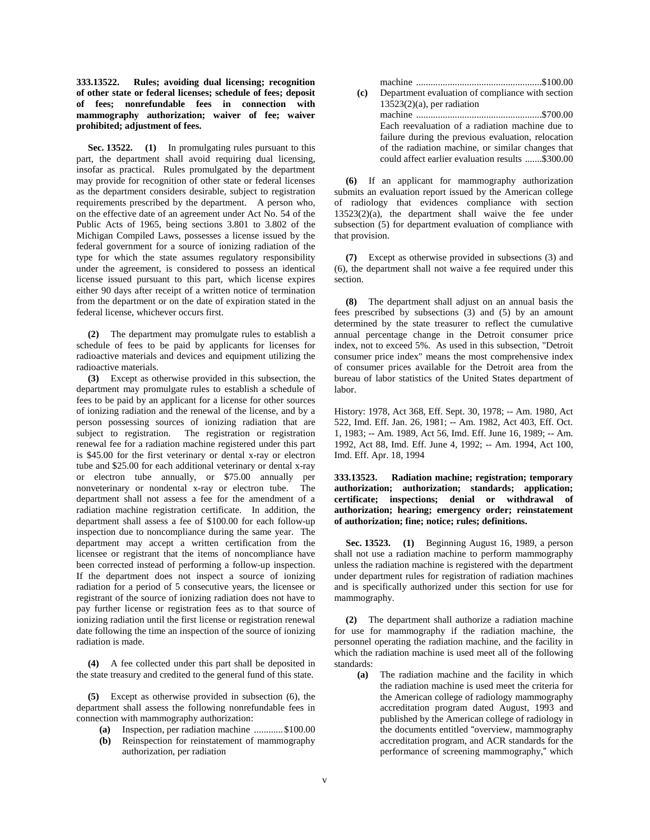**333.13522. Rules; avoiding dual licensing; recognition of other state or federal licenses; schedule of fees; deposit of fees; nonrefundable fees in connection with mammography authorization; waiver of fee; waiver prohibited; adjustment of fees.**

**Sec. 13522. (1)** In promulgating rules pursuant to this part, the department shall avoid requiring dual licensing, insofar as practical. Rules promulgated by the department may provide for recognition of other state or federal licenses as the department considers desirable, subject to registration requirements prescribed by the department. A person who, on the effective date of an agreement under Act No. 54 of the Public Acts of 1965, being sections 3.801 to 3.802 of the Michigan Compiled Laws, possesses a license issued by the federal government for a source of ionizing radiation of the type for which the state assumes regulatory responsibility under the agreement, is considered to possess an identical license issued pursuant to this part, which license expires either 90 days after receipt of a written notice of termination from the department or on the date of expiration stated in the federal license, whichever occurs first.

**(2)** The department may promulgate rules to establish a schedule of fees to be paid by applicants for licenses for radioactive materials and devices and equipment utilizing the radioactive materials.

**(3)** Except as otherwise provided in this subsection, the department may promulgate rules to establish a schedule of fees to be paid by an applicant for a license for other sources of ionizing radiation and the renewal of the license, and by a person possessing sources of ionizing radiation that are subject to registration. The registration or registration renewal fee for a radiation machine registered under this part is \$45.00 for the first veterinary or dental x-ray or electron tube and \$25.00 for each additional veterinary or dental x-ray or electron tube annually, or \$75.00 annually per nonveterinary or nondental x-ray or electron tube. The department shall not assess a fee for the amendment of a radiation machine registration certificate. In addition, the department shall assess a fee of \$100.00 for each follow-up inspection due to noncompliance during the same year. The department may accept a written certification from the licensee or registrant that the items of noncompliance have been corrected instead of performing a follow-up inspection. If the department does not inspect a source of ionizing radiation for a period of 5 consecutive years, the licensee or registrant of the source of ionizing radiation does not have to pay further license or registration fees as to that source of ionizing radiation until the first license or registration renewal date following the time an inspection of the source of ionizing radiation is made.

**(4)** A fee collected under this part shall be deposited in the state treasury and credited to the general fund of this state.

**(5)** Except as otherwise provided in subsection (6), the department shall assess the following nonrefundable fees in connection with mammography authorization:

- **(a)** Inspection, per radiation machine ............\$100.00
- **(b)** Reinspection for reinstatement of mammography authorization, per radiation

| $\left( \mathbf{c} \right)$ | Department evaluation of compliance with section   |
|-----------------------------|----------------------------------------------------|
|                             | $13523(2)(a)$ , per radiation                      |
|                             |                                                    |
|                             | Each reevaluation of a radiation machine due to    |
|                             | failure during the previous evaluation, relocation |
|                             | of the radiation machine, or similar changes that  |
|                             | could affect earlier evaluation results \$300.00   |

**(6)** If an applicant for mammography authorization submits an evaluation report issued by the American college of radiology that evidences compliance with section 13523(2)(a), the department shall waive the fee under subsection (5) for department evaluation of compliance with that provision.

**(7)** Except as otherwise provided in subsections (3) and (6), the department shall not waive a fee required under this section.

**(8)** The department shall adjust on an annual basis the fees prescribed by subsections (3) and (5) by an amount determined by the state treasurer to reflect the cumulative annual percentage change in the Detroit consumer price index, not to exceed 5%. As used in this subsection, "Detroit consumer price index" means the most comprehensive index of consumer prices available for the Detroit area from the bureau of labor statistics of the United States department of labor.

History: 1978, Act 368, Eff. Sept. 30, 1978; -- Am. 1980, Act 522, Imd. Eff. Jan. 26, 1981; -- Am. 1982, Act 403, Eff. Oct. 1, 1983; -- Am. 1989, Act 56, Imd. Eff. June 16, 1989; -- Am. 1992, Act 88, Imd. Eff. June 4, 1992; -- Am. 1994, Act 100, Imd. Eff. Apr. 18, 1994

**333.13523. Radiation machine; registration; temporary authorization; authorization; standards; application; certificate; inspections; denial or withdrawal of authorization; hearing; emergency order; reinstatement of authorization; fine; notice; rules; definitions.**

**Sec. 13523. (1)** Beginning August 16, 1989, a person shall not use a radiation machine to perform mammography unless the radiation machine is registered with the department under department rules for registration of radiation machines and is specifically authorized under this section for use for mammography.

**(2)** The department shall authorize a radiation machine for use for mammography if the radiation machine, the personnel operating the radiation machine, and the facility in which the radiation machine is used meet all of the following standards:

**(a)** The radiation machine and the facility in which the radiation machine is used meet the criteria for the American college of radiology mammography accreditation program dated August, 1993 and published by the American college of radiology in the documents entitled "overview, mammography accreditation program, and ACR standards for the performance of screening mammography," which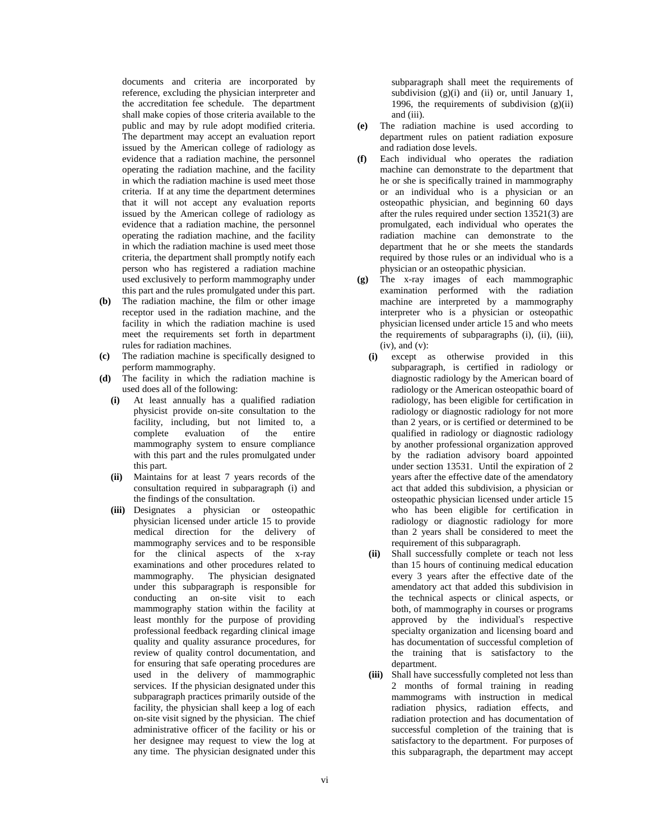documents and criteria are incorporated by reference, excluding the physician interpreter and the accreditation fee schedule. The department shall make copies of those criteria available to the public and may by rule adopt modified criteria. The department may accept an evaluation report issued by the American college of radiology as evidence that a radiation machine, the personnel operating the radiation machine, and the facility in which the radiation machine is used meet those criteria. If at any time the department determines that it will not accept any evaluation reports issued by the American college of radiology as evidence that a radiation machine, the personnel operating the radiation machine, and the facility in which the radiation machine is used meet those criteria, the department shall promptly notify each person who has registered a radiation machine used exclusively to perform mammography under this part and the rules promulgated under this part.

- **(b)** The radiation machine, the film or other image receptor used in the radiation machine, and the facility in which the radiation machine is used meet the requirements set forth in department rules for radiation machines.
- **(c)** The radiation machine is specifically designed to perform mammography.
- **(d)** The facility in which the radiation machine is used does all of the following:
	- **(i)** At least annually has a qualified radiation physicist provide on-site consultation to the facility, including, but not limited to, a complete evaluation of the entire mammography system to ensure compliance with this part and the rules promulgated under this part.
	- **(ii)** Maintains for at least 7 years records of the consultation required in subparagraph (i) and the findings of the consultation.
	- **(iii)** Designates a physician or osteopathic physician licensed under article 15 to provide medical direction for the delivery of mammography services and to be responsible for the clinical aspects of the x-ray examinations and other procedures related to mammography. The physician designated under this subparagraph is responsible for conducting an on-site visit to each mammography station within the facility at least monthly for the purpose of providing professional feedback regarding clinical image quality and quality assurance procedures, for review of quality control documentation, and for ensuring that safe operating procedures are used in the delivery of mammographic services. If the physician designated under this subparagraph practices primarily outside of the facility, the physician shall keep a log of each on-site visit signed by the physician. The chief administrative officer of the facility or his or her designee may request to view the log at any time. The physician designated under this

subparagraph shall meet the requirements of subdivision  $(g)(i)$  and  $(ii)$  or, until January 1, 1996, the requirements of subdivision (g)(ii) and (iii).

- **(e)** The radiation machine is used according to department rules on patient radiation exposure and radiation dose levels.
- **(f)** Each individual who operates the radiation machine can demonstrate to the department that he or she is specifically trained in mammography or an individual who is a physician or an osteopathic physician, and beginning 60 days after the rules required under section 13521(3) are promulgated, each individual who operates the radiation machine can demonstrate to the department that he or she meets the standards required by those rules or an individual who is a physician or an osteopathic physician.
- **(g)** The x-ray images of each mammographic examination performed with the radiation machine are interpreted by a mammography interpreter who is a physician or osteopathic physician licensed under article 15 and who meets the requirements of subparagraphs (i), (ii), (iii),  $(iv)$ , and  $(v)$ :
	- **(i)** except as otherwise provided in this subparagraph, is certified in radiology or diagnostic radiology by the American board of radiology or the American osteopathic board of radiology, has been eligible for certification in radiology or diagnostic radiology for not more than 2 years, or is certified or determined to be qualified in radiology or diagnostic radiology by another professional organization approved by the radiation advisory board appointed under section 13531. Until the expiration of 2 years after the effective date of the amendatory act that added this subdivision, a physician or osteopathic physician licensed under article 15 who has been eligible for certification in radiology or diagnostic radiology for more than 2 years shall be considered to meet the requirement of this subparagraph.
	- **(ii)** Shall successfully complete or teach not less than 15 hours of continuing medical education every 3 years after the effective date of the amendatory act that added this subdivision in the technical aspects or clinical aspects, or both, of mammography in courses or programs approved by the individual's respective specialty organization and licensing board and has documentation of successful completion of the training that is satisfactory to the department.
	- **(iii)** Shall have successfully completed not less than 2 months of formal training in reading mammograms with instruction in medical radiation physics, radiation effects, and radiation protection and has documentation of successful completion of the training that is satisfactory to the department. For purposes of this subparagraph, the department may accept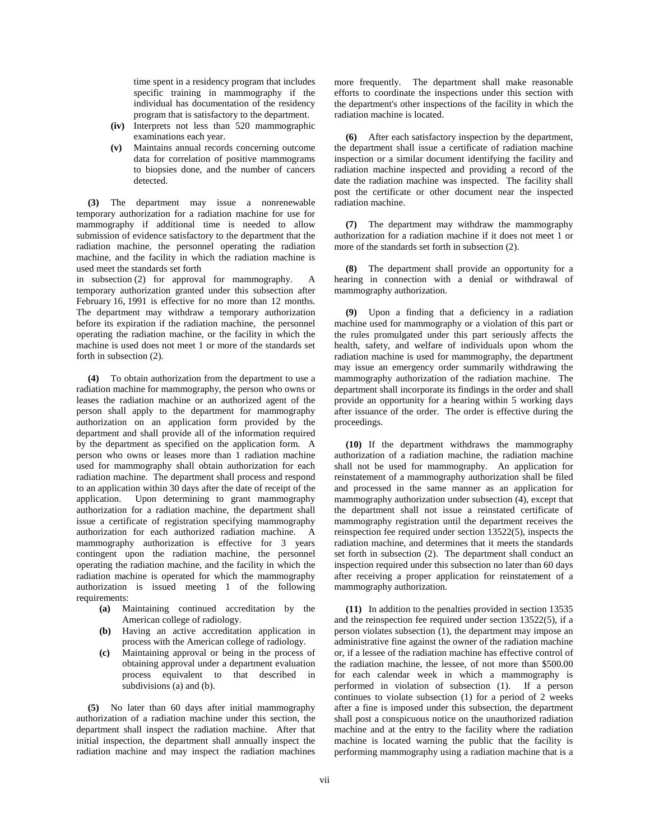time spent in a residency program that includes specific training in mammography if the individual has documentation of the residency program that is satisfactory to the department.

- **(iv)** Interprets not less than 520 mammographic examinations each year.
- **(v)** Maintains annual records concerning outcome data for correlation of positive mammograms to biopsies done, and the number of cancers detected.

**(3)** The department may issue a nonrenewable temporary authorization for a radiation machine for use for mammography if additional time is needed to allow submission of evidence satisfactory to the department that the radiation machine, the personnel operating the radiation machine, and the facility in which the radiation machine is used meet the standards set forth

in subsection (2) for approval for mammography. A temporary authorization granted under this subsection after February 16, 1991 is effective for no more than 12 months. The department may withdraw a temporary authorization before its expiration if the radiation machine, the personnel operating the radiation machine, or the facility in which the machine is used does not meet 1 or more of the standards set forth in subsection (2).

**(4)** To obtain authorization from the department to use a radiation machine for mammography, the person who owns or leases the radiation machine or an authorized agent of the person shall apply to the department for mammography authorization on an application form provided by the department and shall provide all of the information required by the department as specified on the application form. A person who owns or leases more than 1 radiation machine used for mammography shall obtain authorization for each radiation machine. The department shall process and respond to an application within 30 days after the date of receipt of the application. Upon determining to grant mammography authorization for a radiation machine, the department shall issue a certificate of registration specifying mammography authorization for each authorized radiation machine. A mammography authorization is effective for 3 years contingent upon the radiation machine, the personnel operating the radiation machine, and the facility in which the radiation machine is operated for which the mammography authorization is issued meeting 1 of the following requirements:

- **(a)** Maintaining continued accreditation by the American college of radiology.
- **(b)** Having an active accreditation application in process with the American college of radiology.
- **(c)** Maintaining approval or being in the process of obtaining approval under a department evaluation process equivalent to that described in subdivisions (a) and (b).

**(5)** No later than 60 days after initial mammography authorization of a radiation machine under this section, the department shall inspect the radiation machine. After that initial inspection, the department shall annually inspect the radiation machine and may inspect the radiation machines

more frequently. The department shall make reasonable efforts to coordinate the inspections under this section with the department's other inspections of the facility in which the radiation machine is located.

**(6)** After each satisfactory inspection by the department, the department shall issue a certificate of radiation machine inspection or a similar document identifying the facility and radiation machine inspected and providing a record of the date the radiation machine was inspected. The facility shall post the certificate or other document near the inspected radiation machine.

**(7)** The department may withdraw the mammography authorization for a radiation machine if it does not meet 1 or more of the standards set forth in subsection (2).

The department shall provide an opportunity for a hearing in connection with a denial or withdrawal of mammography authorization.

**(9)** Upon a finding that a deficiency in a radiation machine used for mammography or a violation of this part or the rules promulgated under this part seriously affects the health, safety, and welfare of individuals upon whom the radiation machine is used for mammography, the department may issue an emergency order summarily withdrawing the mammography authorization of the radiation machine. The department shall incorporate its findings in the order and shall provide an opportunity for a hearing within 5 working days after issuance of the order. The order is effective during the proceedings.

**(10)** If the department withdraws the mammography authorization of a radiation machine, the radiation machine shall not be used for mammography. An application for reinstatement of a mammography authorization shall be filed and processed in the same manner as an application for mammography authorization under subsection (4), except that the department shall not issue a reinstated certificate of mammography registration until the department receives the reinspection fee required under section 13522(5), inspects the radiation machine, and determines that it meets the standards set forth in subsection (2). The department shall conduct an inspection required under this subsection no later than 60 days after receiving a proper application for reinstatement of a mammography authorization.

**(11)** In addition to the penalties provided in section 13535 and the reinspection fee required under section 13522(5), if a person violates subsection (1), the department may impose an administrative fine against the owner of the radiation machine or, if a lessee of the radiation machine has effective control of the radiation machine, the lessee, of not more than \$500.00 for each calendar week in which a mammography is performed in violation of subsection (1). If a person continues to violate subsection (1) for a period of 2 weeks after a fine is imposed under this subsection, the department shall post a conspicuous notice on the unauthorized radiation machine and at the entry to the facility where the radiation machine is located warning the public that the facility is performing mammography using a radiation machine that is a